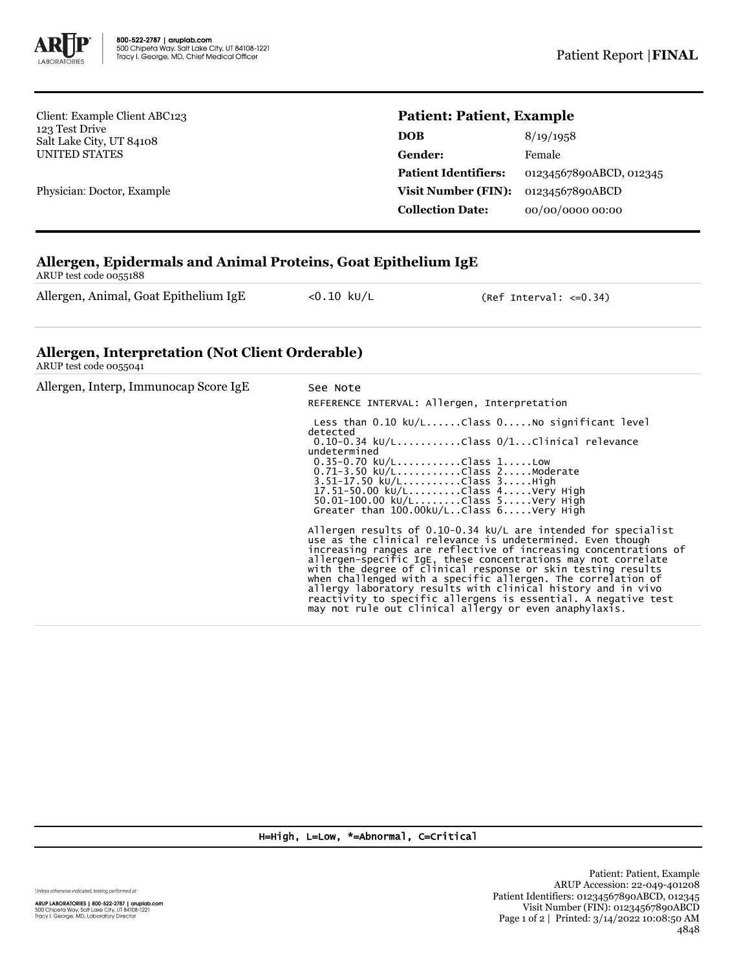

Client: Example Client ABC123 123 Test Drive Salt Lake City, UT 84108 UNITED STATES

Physician: Doctor, Example

## **Patient: Patient, Example**

| <b>DOB</b>                  | 8/19/1958               |
|-----------------------------|-------------------------|
| <b>Gender:</b>              | Female                  |
| <b>Patient Identifiers:</b> | 01234567890ABCD, 012345 |
| Visit Number (FIN):         | 01234567890ABCD         |
| <b>Collection Date:</b>     | 00/00/0000 00:00        |

## **Allergen, Epidermals and Animal Proteins, Goat Epithelium IgE**

ARUP test code 0055188

Allergen, Animal, Goat Epithelium IgE <0.10 kU/L (Ref Interval: <= 0.34)

## **Allergen, Interpretation (Not Client Orderable)**

ARUP test code 0055041

| Allergen, Interp, Immunocap Score IgE | See Note<br>REFERENCE INTERVAL: Allergen, Interpretation                                                                                                                                                                                                                                                                                                                                                                                                                                                                                                                                        |  |  |
|---------------------------------------|-------------------------------------------------------------------------------------------------------------------------------------------------------------------------------------------------------------------------------------------------------------------------------------------------------------------------------------------------------------------------------------------------------------------------------------------------------------------------------------------------------------------------------------------------------------------------------------------------|--|--|
|                                       | Less than $0.10 \ \text{kU/L} \dots$ Class $0 \dots$ No significant level<br>detected<br>$0.10-0.34$ ku/LClass $0/1$ Clinical relevance<br>undetermined<br>$0.35 - 0.70$ kU/LClass 1Low<br>0.71-3.50 ku/LClass 2Moderate<br>$3.51 - 17.50 \text{ kU/L}$ Class $3.$ High<br>17.51-50.00 ku/LClass 4Very High<br>50.01-100.00 ku/LClass 5Very High<br>Greater than $100.00 \text{kU/L}$ Class $6 \ldots$ Very High                                                                                                                                                                                |  |  |
|                                       | Allergen results of $0.10-0.34$ kU/L are intended for specialist<br>use as the clinical relevance is undetermined. Even though<br>increasing ranges are reflective of increasing concentrations of<br>allergen-specific IgE, these concentrations may not correlate<br>with the degree of clinical response or skin testing results<br>when challenged with a specific allergen. The correlation of<br>allergy laboratory results with clinical history and in vivo<br>reactivity to specific allergens is essential. A negative test<br>may not rule out clinical allergy or even anaphylaxis. |  |  |

H=High, L=Low, \*=Abnormal, C=Critical

Unless otherwise indicated, testing performed at:

**ARUP LABORATORIES | 800-522-2787 | aruplab.com**<br>500 Chipeta Way, Salt Lake City, UT 84108-1221<br>Tracy I. George, MD, Laboratory Director

Patient: Patient, Example ARUP Accession: 22-049-401208 Patient Identifiers: 01234567890ABCD, 012345 Visit Number (FIN): 01234567890ABCD Page 1 of 2 | Printed: 3/14/2022 10:08:50 AM 4848